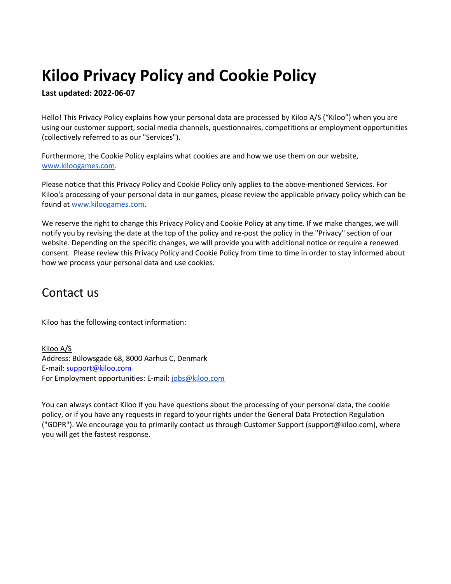# **Kiloo Privacy Policy and Cookie Policy**

**Last updated: 2022-06-07**

Hello! This Privacy Policy explains how your personal data are processed by Kiloo A/S ("Kiloo") when you are using our customer support, social media channels, questionnaires, competitions or employment opportunities (collectively referred to as our "Services").

Furthermore, the Cookie Policy explains what cookies are and how we use them on our website, www.kiloogames.com.

Please notice that this Privacy Policy and Cookie Policy only applies to the above-mentioned Services. For Kiloo's processing of your personal data in our games, please review the applicable privacy policy which can be found at www.kiloogames.com.

We reserve the right to change this Privacy Policy and Cookie Policy at any time. If we make changes, we will notify you by revising the date at the top of the policy and re-post the policy in the "Privacy" section of our website. Depending on the specific changes, we will provide you with additional notice or require a renewed consent. Please review this Privacy Policy and Cookie Policy from time to time in order to stay informed about how we process your personal data and use cookies.

### Contact us

Kiloo has the following contact information:

Kiloo A/S Address: Bülowsgade 68, 8000 Aarhus C, Denmark E-mail: support@kiloo.com For Employment opportunities: E-mail: jobs@kiloo.com

You can always contact Kiloo if you have questions about the processing of your personal data, the cookie policy, or if you have any requests in regard to your rights under the General Data Protection Regulation ("GDPR"). We encourage you to primarily contact us through Customer Support (support@kiloo.com), where you will get the fastest response.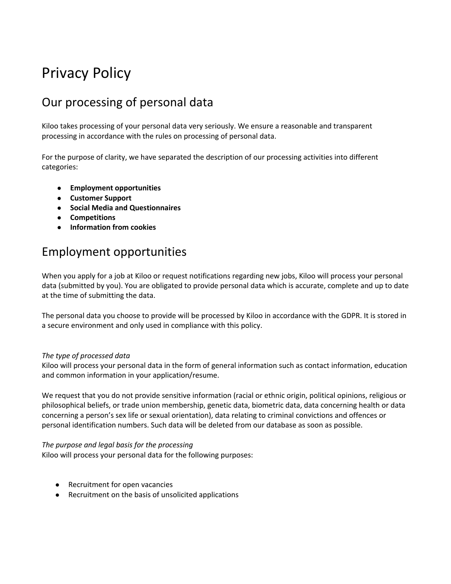# Privacy Policy

# Our processing of personal data

Kiloo takes processing of your personal data very seriously. We ensure a reasonable and transparent processing in accordance with the rules on processing of personal data.

For the purpose of clarity, we have separated the description of our processing activities into different categories:

- **Employment opportunities**
- **Customer Support**
- **Social Media and Questionnaires**
- **Competitions**
- **Information from cookies**

## Employment opportunities

When you apply for a job at Kiloo or request notifications regarding new jobs, Kiloo will process your personal data (submitted by you). You are obligated to provide personal data which is accurate, complete and up to date at the time of submitting the data.

The personal data you choose to provide will be processed by Kiloo in accordance with the GDPR. It is stored in a secure environment and only used in compliance with this policy.

#### *The type of processed data*

Kiloo will process your personal data in the form of general information such as contact information, education and common information in your application/resume.

We request that you do not provide sensitive information (racial or ethnic origin, political opinions, religious or philosophical beliefs, or trade union membership, genetic data, biometric data, data concerning health or data concerning a person's sex life or sexual orientation), data relating to criminal convictions and offences or personal identification numbers. Such data will be deleted from our database as soon as possible.

#### *The purpose and legal basis for the processing*

Kiloo will process your personal data for the following purposes:

- Recruitment for open vacancies
- Recruitment on the basis of unsolicited applications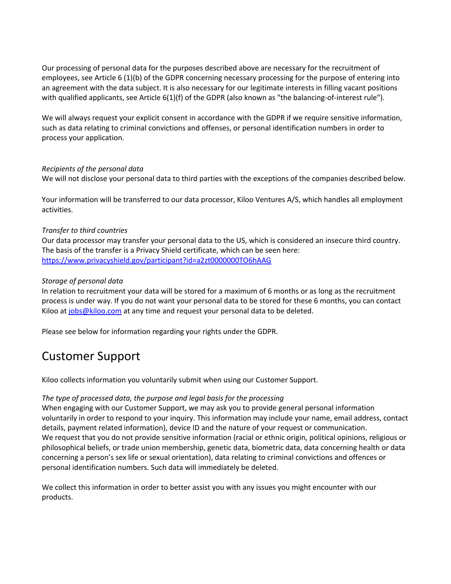Our processing of personal data for the purposes described above are necessary for the recruitment of employees, see Article 6 (1)(b) of the GDPR concerning necessary processing for the purpose of entering into an agreement with the data subject. It is also necessary for our legitimate interests in filling vacant positions with qualified applicants, see Article 6(1)(f) of the GDPR (also known as "the balancing-of-interest rule").

We will always request your explicit consent in accordance with the GDPR if we require sensitive information, such as data relating to criminal convictions and offenses, or personal identification numbers in order to process your application.

#### *Recipients of the personal data*

We will not disclose your personal data to third parties with the exceptions of the companies described below.

Your information will be transferred to our data processor, Kiloo Ventures A/S, which handles all employment activities.

#### *Transfer to third countries*

Our data processor may transfer your personal data to the US, which is considered an insecure third country. The basis of the transfer is a Privacy Shield certificate, which can be seen here: https://www.privacyshield.gov/participant?id=a2zt0000000TO6hAAG

#### *Storage of personal data*

In relation to recruitment your data will be stored for a maximum of 6 months or as long as the recruitment process is under way. If you do not want your personal data to be stored for these 6 months, you can contact Kiloo at jobs@kiloo.com at any time and request your personal data to be deleted.

Please see below for information regarding your rights under the GDPR.

# Customer Support

Kiloo collects information you voluntarily submit when using our Customer Support.

#### *The type of processed data, the purpose and legal basis for the processing*

When engaging with our Customer Support, we may ask you to provide general personal information voluntarily in order to respond to your inquiry. This information may include your name, email address, contact details, payment related information), device ID and the nature of your request or communication. We request that you do not provide sensitive information (racial or ethnic origin, political opinions, religious or philosophical beliefs, or trade union membership, genetic data, biometric data, data concerning health or data concerning a person's sex life or sexual orientation), data relating to criminal convictions and offences or personal identification numbers. Such data will immediately be deleted.

We collect this information in order to better assist you with any issues you might encounter with our products.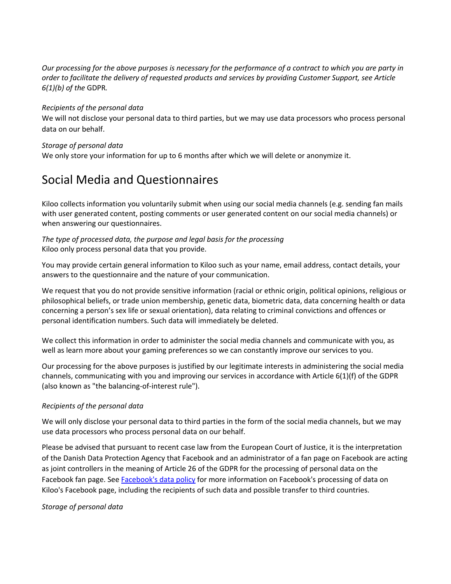*Our processing for the above purposes is necessary for the performance of a contract to which you are party in order to facilitate the delivery of requested products and services by providing Customer Support, see Article 6(1)(b) of the* GDPR*.*

#### *Recipients of the personal data*

We will not disclose your personal data to third parties, but we may use data processors who process personal data on our behalf.

#### *Storage of personal data*

We only store your information for up to 6 months after which we will delete or anonymize it.

# Social Media and Questionnaires

Kiloo collects information you voluntarily submit when using our social media channels (e.g. sending fan mails with user generated content, posting comments or user generated content on our social media channels) or when answering our questionnaires.

#### *The type of processed data, the purpose and legal basis for the processing*  Kiloo only process personal data that you provide.

You may provide certain general information to Kiloo such as your name, email address, contact details, your answers to the questionnaire and the nature of your communication.

We request that you do not provide sensitive information (racial or ethnic origin, political opinions, religious or philosophical beliefs, or trade union membership, genetic data, biometric data, data concerning health or data concerning a person's sex life or sexual orientation), data relating to criminal convictions and offences or personal identification numbers. Such data will immediately be deleted.

We collect this information in order to administer the social media channels and communicate with you, as well as learn more about your gaming preferences so we can constantly improve our services to you.

Our processing for the above purposes is justified by our legitimate interests in administering the social media channels, communicating with you and improving our services in accordance with Article 6(1)(f) of the GDPR (also known as "the balancing-of-interest rule").

#### *Recipients of the personal data*

We will only disclose your personal data to third parties in the form of the social media channels, but we may use data processors who process personal data on our behalf.

Please be advised that pursuant to recent case law from the European Court of Justice, it is the interpretation of the Danish Data Protection Agency that Facebook and an administrator of a fan page on Facebook are acting as joint controllers in the meaning of Article 26 of the GDPR for the processing of personal data on the Facebook fan page. See Facebook's data policy for more information on Facebook's processing of data on Kiloo's Facebook page, including the recipients of such data and possible transfer to third countries.

#### *Storage of personal data*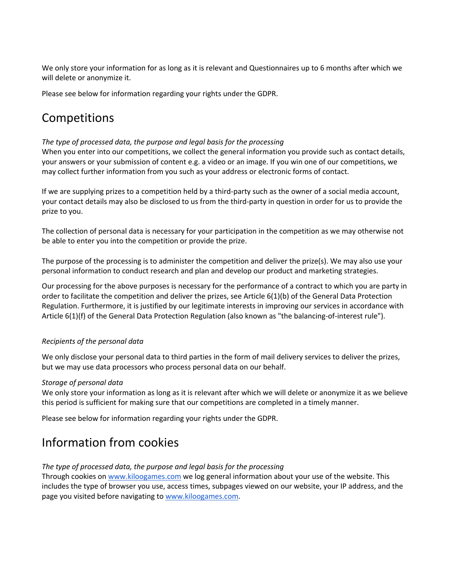We only store your information for as long as it is relevant and Questionnaires up to 6 months after which we will delete or anonymize it.

Please see below for information regarding your rights under the GDPR.

# Competitions

#### *The type of processed data, the purpose and legal basis for the processing*

When you enter into our competitions, we collect the general information you provide such as contact details, your answers or your submission of content e.g. a video or an image. If you win one of our competitions, we may collect further information from you such as your address or electronic forms of contact.

If we are supplying prizes to a competition held by a third-party such as the owner of a social media account, your contact details may also be disclosed to us from the third-party in question in order for us to provide the prize to you.

The collection of personal data is necessary for your participation in the competition as we may otherwise not be able to enter you into the competition or provide the prize.

The purpose of the processing is to administer the competition and deliver the prize(s). We may also use your personal information to conduct research and plan and develop our product and marketing strategies.

Our processing for the above purposes is necessary for the performance of a contract to which you are party in order to facilitate the competition and deliver the prizes, see Article 6(1)(b) of the General Data Protection Regulation. Furthermore, it is justified by our legitimate interests in improving our services in accordance with Article 6(1)(f) of the General Data Protection Regulation (also known as "the balancing-of-interest rule").

#### *Recipients of the personal data*

We only disclose your personal data to third parties in the form of mail delivery services to deliver the prizes, but we may use data processors who process personal data on our behalf.

#### *Storage of personal data*

We only store your information as long as it is relevant after which we will delete or anonymize it as we believe this period is sufficient for making sure that our competitions are completed in a timely manner.

Please see below for information regarding your rights under the GDPR.

## Information from cookies

#### *The type of processed data, the purpose and legal basis for the processing*

Through cookies on www.kiloogames.com we log general information about your use of the website. This includes the type of browser you use, access times, subpages viewed on our website, your IP address, and the page you visited before navigating to www.kiloogames.com.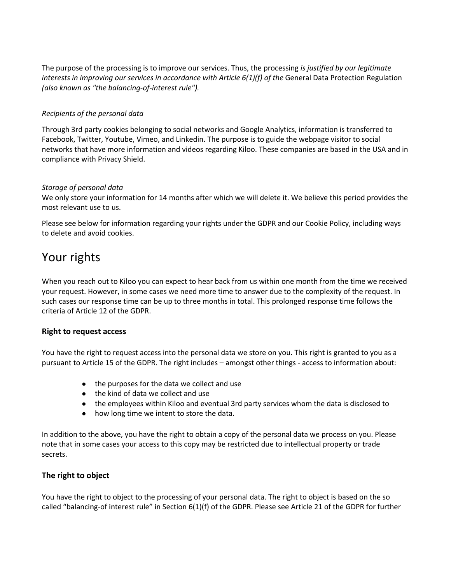The purpose of the processing is to improve our services. Thus, the processing *is justified by our legitimate interests in improving our services in accordance with Article 6(1)(f) of the General Data Protection Regulation (also known as "the balancing-of-interest rule").*

#### *Recipients of the personal data*

Through 3rd party cookies belonging to social networks and Google Analytics, information is transferred to Facebook, Twitter, Youtube, Vimeo, and Linkedin. The purpose is to guide the webpage visitor to social networks that have more information and videos regarding Kiloo. These companies are based in the USA and in compliance with Privacy Shield.

#### *Storage of personal data*

We only store your information for 14 months after which we will delete it. We believe this period provides the most relevant use to us.

Please see below for information regarding your rights under the GDPR and our Cookie Policy, including ways to delete and avoid cookies.

### Your rights

When you reach out to Kiloo you can expect to hear back from us within one month from the time we received your request. However, in some cases we need more time to answer due to the complexity of the request. In such cases our response time can be up to three months in total. This prolonged response time follows the criteria of Article 12 of the GDPR.

#### **Right to request access**

You have the right to request access into the personal data we store on you. This right is granted to you as a pursuant to Article 15 of the GDPR. The right includes – amongst other things - access to information about:

- the purposes for the data we collect and use
- the kind of data we collect and use
- the employees within Kiloo and eventual 3rd party services whom the data is disclosed to
- how long time we intent to store the data.

In addition to the above, you have the right to obtain a copy of the personal data we process on you. Please note that in some cases your access to this copy may be restricted due to intellectual property or trade secrets.

#### **The right to object**

You have the right to object to the processing of your personal data. The right to object is based on the so called "balancing-of interest rule" in Section 6(1)(f) of the GDPR. Please see Article 21 of the GDPR for further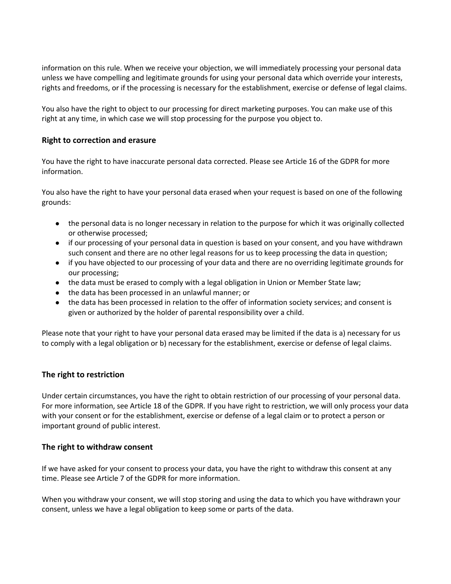information on this rule. When we receive your objection, we will immediately processing your personal data unless we have compelling and legitimate grounds for using your personal data which override your interests, rights and freedoms, or if the processing is necessary for the establishment, exercise or defense of legal claims.

You also have the right to object to our processing for direct marketing purposes. You can make use of this right at any time, in which case we will stop processing for the purpose you object to.

#### **Right to correction and erasure**

You have the right to have inaccurate personal data corrected. Please see Article 16 of the GDPR for more information.

You also have the right to have your personal data erased when your request is based on one of the following grounds:

- the personal data is no longer necessary in relation to the purpose for which it was originally collected or otherwise processed;
- if our processing of your personal data in question is based on your consent, and you have withdrawn such consent and there are no other legal reasons for us to keep processing the data in question;
- if you have objected to our processing of your data and there are no overriding legitimate grounds for our processing;
- the data must be erased to comply with a legal obligation in Union or Member State law;
- the data has been processed in an unlawful manner; or
- the data has been processed in relation to the offer of information society services; and consent is given or authorized by the holder of parental responsibility over a child.

Please note that your right to have your personal data erased may be limited if the data is a) necessary for us to comply with a legal obligation or b) necessary for the establishment, exercise or defense of legal claims.

#### **The right to restriction**

Under certain circumstances, you have the right to obtain restriction of our processing of your personal data. For more information, see Article 18 of the GDPR. If you have right to restriction, we will only process your data with your consent or for the establishment, exercise or defense of a legal claim or to protect a person or important ground of public interest.

#### **The right to withdraw consent**

If we have asked for your consent to process your data, you have the right to withdraw this consent at any time. Please see Article 7 of the GDPR for more information.

When you withdraw your consent, we will stop storing and using the data to which you have withdrawn your consent, unless we have a legal obligation to keep some or parts of the data.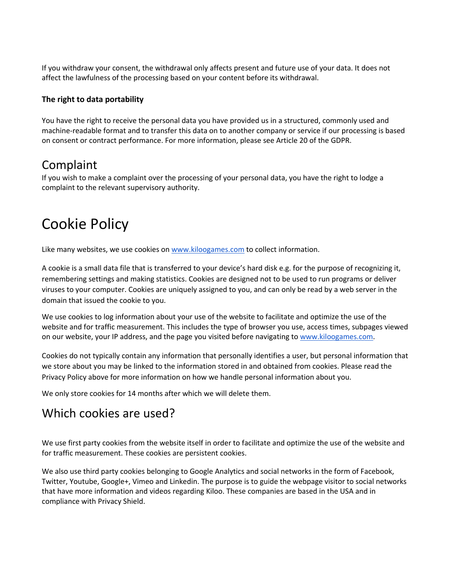If you withdraw your consent, the withdrawal only affects present and future use of your data. It does not affect the lawfulness of the processing based on your content before its withdrawal.

#### **The right to data portability**

You have the right to receive the personal data you have provided us in a structured, commonly used and machine-readable format and to transfer this data on to another company or service if our processing is based on consent or contract performance. For more information, please see Article 20 of the GDPR.

### Complaint

If you wish to make a complaint over the processing of your personal data, you have the right to lodge a complaint to the relevant supervisory authority.

# Cookie Policy

Like many websites, we use cookies on www.kiloogames.com to collect information.

A cookie is a small data file that is transferred to your device's hard disk e.g. for the purpose of recognizing it, remembering settings and making statistics. Cookies are designed not to be used to run programs or deliver viruses to your computer. Cookies are uniquely assigned to you, and can only be read by a web server in the domain that issued the cookie to you.

We use cookies to log information about your use of the website to facilitate and optimize the use of the website and for traffic measurement. This includes the type of browser you use, access times, subpages viewed on our website, your IP address, and the page you visited before navigating to www.kiloogames.com.

Cookies do not typically contain any information that personally identifies a user, but personal information that we store about you may be linked to the information stored in and obtained from cookies. Please read the Privacy Policy above for more information on how we handle personal information about you.

We only store cookies for 14 months after which we will delete them.

## Which cookies are used?

We use first party cookies from the website itself in order to facilitate and optimize the use of the website and for traffic measurement. These cookies are persistent cookies.

We also use third party cookies belonging to Google Analytics and social networks in the form of Facebook, Twitter, Youtube, Google+, Vimeo and Linkedin. The purpose is to guide the webpage visitor to social networks that have more information and videos regarding Kiloo. These companies are based in the USA and in compliance with Privacy Shield.